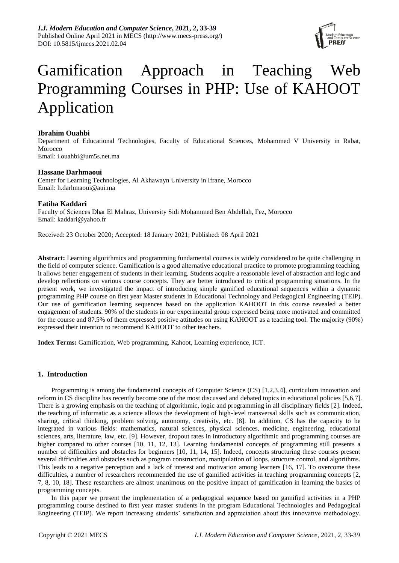

# Gamification Approach in Teaching Web Programming Courses in PHP: Use of KAHOOT Application

# **Ibrahim Ouahbi**

Department of Educational Technologies, Faculty of Educational Sciences, Mohammed V University in Rabat, Morocco Email: [i.ouahbi@um5s.net.ma](mailto:i.ouahbi@um5s.net.ma)

# **Hassane Darhmaoui**

Center for Learning Technologies, Al Akhawayn University in Ifrane, Morocco Email: [h.darhmaoui@aui.ma](mailto:h.darhmaoui@aui.ma)

# **Fatiha Kaddari**

Faculty of Sciences Dhar El Mahraz, University Sidi Mohammed Ben Abdellah, Fez, Morocco Email: [kaddari@yahoo.fr](mailto:kaddari@yahoo.fr)

Received: 23 October 2020; Accepted: 18 January 2021; Published: 08 April 2021

**Abstract:** Learning algorithmics and programming fundamental courses is widely considered to be quite challenging in the field of computer science. Gamification is a good alternative educational practice to promote programming teaching, it allows better engagement of students in their learning. Students acquire a reasonable level of abstraction and logic and develop reflections on various course concepts. They are better introduced to critical programming situations. In the present work, we investigated the impact of introducing simple gamified educational sequences within a dynamic programming PHP course on first year Master students in Educational Technology and Pedagogical Engineering (TEIP). Our use of gamification learning sequences based on the application KAHOOT in this course revealed a better engagement of students. 90% of the students in our experimental group expressed being more motivated and committed for the course and 87.5% of them expressed positive attitudes on using KAHOOT as a teaching tool. The majority (90%) expressed their intention to recommend KAHOOT to other teachers.

**Index Terms:** Gamification, Web programming, Kahoot, Learning experience, ICT.

# **1. Introduction**

Programming is among the fundamental concepts of Computer Science (CS) [1,2,3,4], curriculum innovation and reform in CS discipline has recently become one of the most discussed and debated topics in educational policies [5,6,7]. There is a growing emphasis on the teaching of algorithmic, logic and programming in all disciplinary fields [2]. Indeed, the teaching of informatic as a science allows the development of high-level transversal skills such as communication, sharing, critical thinking, problem solving, autonomy, creativity, etc. [8]. In addition, CS has the capacity to be integrated in various fields: mathematics, natural sciences, physical sciences, medicine, engineering, educational sciences, arts, literature, law, etc. [9]. However, dropout rates in introductory algorithmic and programming courses are higher compared to other courses [10, 11, 12, 13]. Learning fundamental concepts of programming still presents a number of difficulties and obstacles for beginners [10, 11, 14, 15]. Indeed, concepts structuring these courses present several difficulties and obstacles such as program construction, manipulation of loops, structure control, and algorithms. This leads to a negative perception and a lack of interest and motivation among learners [16, 17]. To overcome these difficulties, a number of researchers recommended the use of gamified activities in teaching programming concepts [2, 7, 8, 10, 18]. These researchers are almost unanimous on the positive impact of gamification in learning the basics of programming concepts.

In this paper we present the implementation of a pedagogical sequence based on gamified activities in a PHP programming course destined to first year master students in the program Educational Technologies and Pedagogical Engineering (TEIP). We report increasing students' satisfaction and appreciation about this innovative methodology.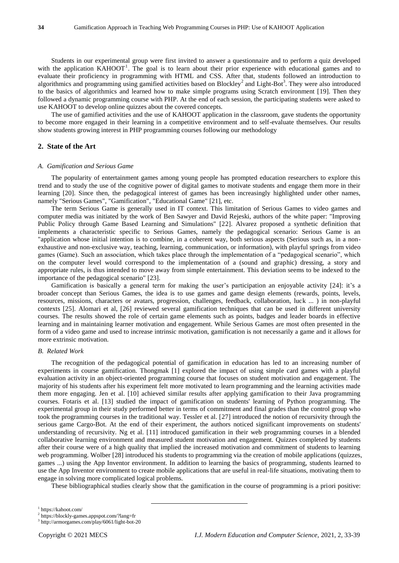Students in our experimental group were first invited to answer a questionnaire and to perform a quiz developed with the application KAHOOT<sup>1</sup>. The goal is to learn about their prior experience with educational games and to evaluate their proficiency in programming with HTML and CSS. After that, students followed an introduction to algorithmics and programming using gamified activities based on Blockley<sup>2</sup> and Light-Bot<sup>3</sup>. They were also introduced to the basics of algorithmics and learned how to make simple programs using Scratch environment [19]. Then they followed a dynamic programming course with PHP. At the end of each session, the participating students were asked to use KAHOOT to develop online quizzes about the covered concepts.

The use of gamified activities and the use of KAHOOT application in the classroom, gave students the opportunity to become more engaged in their learning in a competitive environment and to self-evaluate themselves. Our results show students growing interest in PHP programming courses following our methodology

# **2. State of the Art**

#### *A. Gamification and Serious Game*

The popularity of entertainment games among young people has prompted education researchers to explore this trend and to study the use of the cognitive power of digital games to motivate students and engage them more in their learning [20]. Since then, the pedagogical interest of games has been increasingly highlighted under other names, namely "Serious Games", "Gamification", "Educational Game" [21], etc.

The term Serious Game is generally used in IT context. This limitation of Serious Games to video games and computer media was initiated by the work of Ben Sawyer and David Rejeski, authors of the white paper: "Improving Public Policy through Game Based Learning and Simulations" [22]. Alvarez proposed a synthetic definition that implements a characteristic specific to Serious Games, namely the pedagogical scenario: Serious Game is an "application whose initial intention is to combine, in a coherent way, both serious aspects (Serious such as, in a nonexhaustive and non-exclusive way, teaching, learning, communication, or information), with playful springs from video games (Game). Such an association, which takes place through the implementation of a "pedagogical scenario", which on the computer level would correspond to the implementation of a (sound and graphic) dressing, a story and appropriate rules, is thus intended to move away from simple entertainment. This deviation seems to be indexed to the importance of the pedagogical scenario" [23].

Gamification is basically a general term for making the user's participation an enjoyable activity [24]: it's a broader concept than Serious Games, the idea is to use games and game design elements (rewards, points, levels, resources, missions, characters or avatars, progression, challenges, feedback, collaboration, luck ... ) in non-playful contexts [25]. Alomari et al, [26] reviewed several gamification techniques that can be used in different university courses. The results showed the role of certain game elements such as points, badges and leader boards in effective learning and in maintaining learner motivation and engagement. While Serious Games are most often presented in the form of a video game and used to increase intrinsic motivation, gamification is not necessarily a game and it allows for more extrinsic motivation.

#### *B. Related Work*

The recognition of the pedagogical potential of gamification in education has led to an increasing number of experiments in course gamification. Thongmak [1] explored the impact of using simple card games with a playful evaluation activity in an object-oriented programming course that focuses on student motivation and engagement. The majority of his students after his experiment felt more motivated to learn programming and the learning activities made them more engaging. Jen et al. [10] achieved similar results after applying gamification to their Java programming courses. Fotaris et al. [13] studied the impact of gamification on students' learning of Python programming. The experimental group in their study performed better in terms of commitment and final grades than the control group who took the programming courses in the traditional way. Tessler et al. [27] introduced the notion of recursivity through the serious game Cargo-Bot. At the end of their experiment, the authors noticed significant improvements on students' understanding of recursivity. Ng et al. [11] introduced gamification in their web programming courses in a blended collaborative learning environment and measured student motivation and engagement. Quizzes completed by students after their course were of a high quality that implied the increased motivation and commitment of students to learning web programming. Wolber [28] introduced his students to programming via the creation of mobile applications (quizzes, games ...) using the App Inventor environment. In addition to learning the basics of programming, students learned to use the App Inventor environment to create mobile applications that are useful in real-life situations, motivating them to engage in solving more complicated logical problems.

These bibliographical studies clearly show that the gamification in the course of programming is a priori positive:

 $\overline{a}$ 

<sup>1</sup> https://kahoot.com/

<sup>2</sup> https://blockly-games.appspot.com/?lang=fr

<sup>3</sup> http://armorgames.com/play/6061/light-bot-20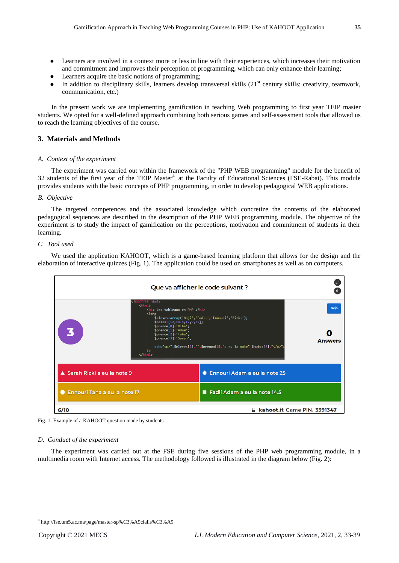- Learners are involved in a context more or less in line with their experiences, which increases their motivation and commitment and improves their perception of programming, which can only enhance their learning;
- Learners acquire the basic notions of programming;
- $\bullet$  In addition to disciplinary skills, learners develop transversal skills (21<sup>st</sup> century skills: creativity, teamwork, communication, etc.)

In the present work we are implementing gamification in teaching Web programming to first year TEIP master students. We opted for a well-defined approach combining both serious games and self-assessment tools that allowed us to reach the learning objectives of the course.

# **3. Materials and Methods**

#### *A. Context of the experiment*

The experiment was carried out within the framework of the "PHP WEB programming" module for the benefit of 32 students of the first year of the TEIP Master<sup>4</sup> at the Faculty of Educational Sciences (FSE-Rabat). This module provides students with the basic concepts of PHP programming, in order to develop pedagogical WEB applications.

## *B. Objective*

The targeted competences and the associated knowledge which concretize the contents of the elaborated pedagogical sequences are described in the description of the PHP WEB programming module. The objective of the experiment is to study the impact of gamification on the perceptions, motivation and commitment of students in their learning.

## *C. Tool used*

We used the application KAHOOT, which is a game-based learning platform that allows for the design and the elaboration of interactive quizzes (Fig. 1). The application could be used on smartphones as well as on computers.



Fig. 1. Example of a KAHOOT question made by students

#### *D. Conduct of the experiment*

The experiment was carried out at the FSE during five sessions of the PHP web programming module, in a multimedia room with Internet access. The methodology followed is illustrated in the diagram below (Fig. 2):

 $\overline{a}$ 

<sup>4</sup> http://fse.um5.ac.ma/page/master-sp%C3%A9cialis%C3%A9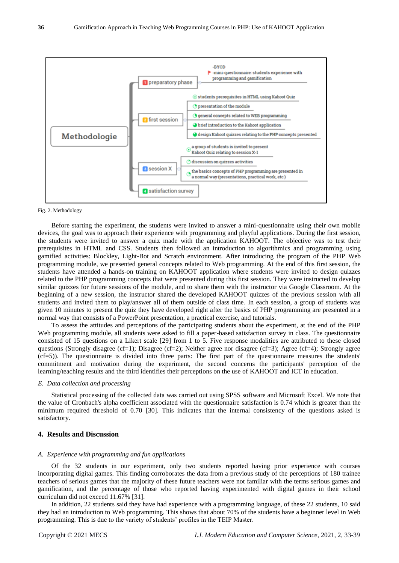

#### Fig. 2. Methodology

Before starting the experiment, the students were invited to answer a mini-questionnaire using their own mobile devices, the goal was to approach their experience with programming and playful applications. During the first session, the students were invited to answer a quiz made with the application KAHOOT. The objective was to test their prerequisites in HTML and CSS. Students then followed an introduction to algorithmics and programming using gamified activities: Blockley, Light-Bot and Scratch environment. After introducing the program of the PHP Web programming module, we presented general concepts related to Web programming. At the end of this first session, the students have attended a hands-on training on KAHOOT application where students were invited to design quizzes related to the PHP programming concepts that were presented during this first session. They were instructed to develop similar quizzes for future sessions of the module, and to share them with the instructor via Google Classroom. At the beginning of a new session, the instructor shared the developed KAHOOT quizzes of the previous session with all students and invited them to play/answer all of them outside of class time. In each session, a group of students was given 10 minutes to present the quiz they have developed right after the basics of PHP programming are presented in a normal way that consists of a PowerPoint presentation, a practical exercise, and tutorials.

To assess the attitudes and perceptions of the participating students about the experiment, at the end of the PHP Web programming module, all students were asked to fill a paper-based satisfaction survey in class. The questionnaire consisted of 15 questions on a Likert scale [29] from 1 to 5. Five response modalities are attributed to these closed questions (Strongly disagree (cf=1); Disagree (cf=2); Neither agree nor disagree (cf=3); Agree (cf=4); Strongly agree (cf=5)). The questionnaire is divided into three parts: The first part of the questionnaire measures the students' commitment and motivation during the experiment, the second concerns the participants' perception of the learning/teaching results and the third identifies their perceptions on the use of KAHOOT and ICT in education.

### *E. Data collection and processing*

Statistical processing of the collected data was carried out using SPSS software and Microsoft Excel. We note that the value of Cronbach's alpha coefficient associated with the questionnaire satisfaction is 0.74 which is greater than the minimum required threshold of 0.70 [30]. This indicates that the internal consistency of the questions asked is satisfactory.

## **4. Results and Discussion**

#### *A. Experience with programming and fun applications*

Of the 32 students in our experiment, only two students reported having prior experience with courses incorporating digital games. This finding corroborates the data from a previous study of the perceptions of 180 trainee teachers of serious games that the majority of these future teachers were not familiar with the terms serious games and gamification, and the percentage of those who reported having experimented with digital games in their school curriculum did not exceed 11.67% [31].

In addition, 22 students said they have had experience with a programming language, of these 22 students, 10 said they had an introduction to Web programming. This shows that about 70% of the students have a beginner level in Web programming. This is due to the variety of students' profiles in the TEIP Master.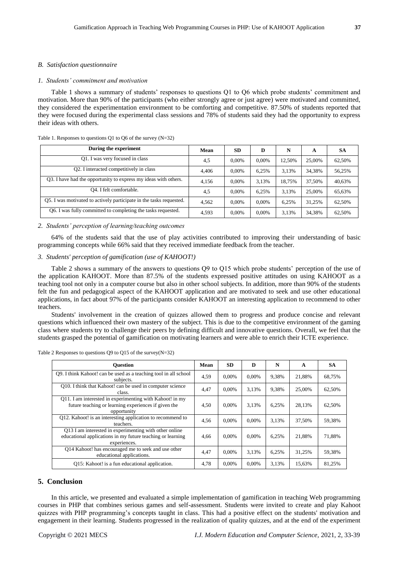#### *B. Satisfaction questionnaire*

#### *1. Students' commitment and motivation*

Table 1 shows a summary of students' responses to questions Q1 to Q6 which probe students' commitment and motivation. More than 90% of the participants (who either strongly agree or just agree) were motivated and committed, they considered the experimentation environment to be comforting and competitive. 87.50% of students reported that they were focused during the experimental class sessions and 78% of students said they had the opportunity to express their ideas with others.

| During the experiment                                               | Mean  | <b>SD</b> | D        | N      | А      | SА     |
|---------------------------------------------------------------------|-------|-----------|----------|--------|--------|--------|
| Q1. I was very focused in class                                     | 4,5   | $0.00\%$  | $0.00\%$ | 12.50% | 25,00% | 62,50% |
| Q2. I interacted competitively in class                             | 4.406 | $0.00\%$  | 6,25%    | 3.13%  | 34.38% | 56,25% |
| Q3. I have had the opportunity to express my ideas with others.     | 4.156 | $0.00\%$  | 3.13%    | 18.75% | 37.50% | 40,63% |
| O <sub>4</sub> . I felt comfortable.                                | 4,5   | $0.00\%$  | 6.25%    | 3.13%  | 25,00% | 65,63% |
| Q5. I was motivated to actively participate in the tasks requested. | 4.562 | $0.00\%$  | $0.00\%$ | 6.25%  | 31.25% | 62,50% |
| Q6. I was fully committed to completing the tasks requested.        | 4,593 | $0.00\%$  | $0.00\%$ | 3,13%  | 34,38% | 62,50% |

Table 1. Responses to questions Q1 to Q6 of the survey (N=32)

#### *2. Students' perception of learning/teaching outcomes*

64% of the students said that the use of play activities contributed to improving their understanding of basic programming concepts while 66% said that they received immediate feedback from the teacher.

#### *3. Students' perception of gamification (use of KAHOOT!)*

Table 2 shows a summary of the answers to questions Q9 to Q15 which probe students' perception of the use of the application KAHOOT. More than 87.5% of the students expressed positive attitudes on using KAHOOT as a teaching tool not only in a computer course but also in other school subjects. In addition, more than 90% of the students felt the fun and pedagogical aspect of the KAHOOT application and are motivated to seek and use other educational applications, in fact about 97% of the participants consider KAHOOT an interesting application to recommend to other teachers.

Students' involvement in the creation of quizzes allowed them to progress and produce concise and relevant questions which influenced their own mastery of the subject. This is due to the competitive environment of the gaming class where students try to challenge their peers by defining difficult and innovative questions. Overall, we feel that the students grasped the potential of gamification on motivating learners and were able to enrich their ICTE experience.

| <b>Ouestion</b>                                                                                                                      | Mean | <b>SD</b> | D        | N     | A      | <b>SA</b> |
|--------------------------------------------------------------------------------------------------------------------------------------|------|-----------|----------|-------|--------|-----------|
| Q9. I think Kahoot! can be used as a teaching tool in all school<br>subjects.                                                        | 4,59 | $0.00\%$  | 0.00%    | 9,38% | 21,88% | 68,75%    |
| Q10. I think that Kahoot! can be used in computer science<br>class.                                                                  | 4,47 | $0.00\%$  | 3,13%    | 9.38% | 25,00% | 62,50%    |
| Q11. I am interested in experimenting with Kahoot! in my<br>future teaching or learning experiences if given the<br>opportunity      | 4,50 | $0.00\%$  | 3.13%    | 6,25% | 28,13% | 62,50%    |
| Q12. Kahoot! is an interesting application to recommend to<br>teachers.                                                              | 4,56 | $0.00\%$  | 0.00%    | 3,13% | 37,50% | 59,38%    |
| Q13 I am interested in experimenting with other online<br>educational applications in my future teaching or learning<br>experiences. | 4,66 | 0.00%     | 0.00%    | 6,25% | 21,88% | 71,88%    |
| Q14 Kahoot! has encouraged me to seek and use other<br>educational applications.                                                     | 4,47 | $0.00\%$  | 3.13%    | 6.25% | 31.25% | 59,38%    |
| Q15: Kahoot! is a fun educational application.                                                                                       | 4,78 | $0.00\%$  | $0.00\%$ | 3.13% | 15,63% | 81,25%    |

Table 2 Responses to questions Q9 to Q15 of the survey(N=32)

# **5. Conclusion**

In this article, we presented and evaluated a simple implementation of gamification in teaching Web programming courses in PHP that combines serious games and self-assessment. Students were invited to create and play Kahoot quizzes with PHP programming's concepts taught in class. This had a positive effect on the students' motivation and engagement in their learning. Students progressed in the realization of quality quizzes, and at the end of the experiment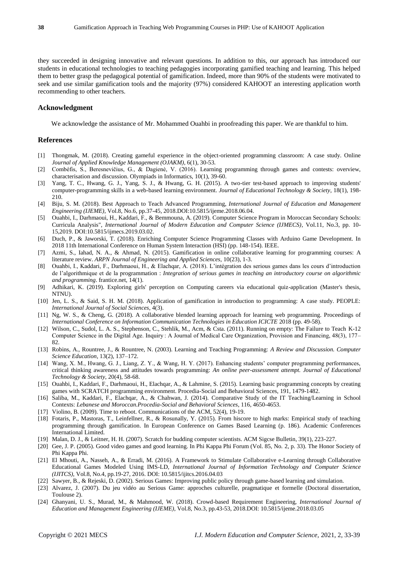they succeeded in designing innovative and relevant questions. In addition to this, our approach has introduced our students in educational technologies to teaching pedagogies incorporating gamified teaching and learning. This helped them to better grasp the pedagogical potential of gamification. Indeed, more than 90% of the students were motivated to seek and use similar gamification tools and the majority (97%) considered KAHOOT an interesting application worth recommending to other teachers.

## **Acknowledgment**

We acknowledge the assistance of Mr. Mohammed Ouahbi in proofreading this paper. We are thankful to him.

## **References**

- [1] Thongmak, M. (2018). Creating gameful experience in the object-oriented programming classroom: A case study. Online *Journal of Applied Knowledge Management (OJAKM)*, 6(1), 30-53.
- [2] Combéfis, S., Beresnevičius, G., & Dagienė, V. (2016). Learning programming through games and contests: overview, characterisation and discussion. Olympiads in Informatics, 10(1), 39-60.
- [3] Yang, T. C., Hwang, G. J., Yang, S. J., & Hwang, G. H. (2015). A two-tier test-based approach to improving students' computer-programming skills in a web-based learning environment. *Journal of Educational Technology & Society*, 18(1), 198- 210.
- [4] Biju, S. M. (2018). Best Approach to Teach Advanced Programming, *International Journal of Education and Management Engineering (IJEME)*, Vol.8, No.6, pp.37-45, 2018.DOI:10.5815/ijeme.2018.06.04.
- [5] Ouahbi, I., Darhmaoui, H., Kaddari, F., & Bemmouna, A. (2019). Computer Science Program in Moroccan Secondary Schools: Curricula Analysis", *International Journal of Modern Education and Computer Science (IJMECS)*, Vol.11, No.3, pp. 10- 15,2019. DOI:10.5815/ijmecs.2019.03.02.
- [6] Duch, P., & Jaworski, T. (2018). Enriching Computer Science Programming Classes with Arduino Game Development. In 2018 11th International Conference on Human System Interaction (HSI) (pp. 148-154). IEEE.
- [7] Azmi, S., Iahad, N. A., & Ahmad, N. (2015). Gamification in online collaborative learning for programming courses: A literature review. *ARPN Journal of Engineering and Applied Sciences*, 10(23), 1-3.
- [8] Ouahbi, I., Kaddari, F., Darhmaoui, H., & Elachqar, A. (2018). L'intégration des serious games dans les cours d'introduction de l'algorithmique et de la programmation : *Integration of serious games in teaching an introductory course on algorithmic and programming*. frantice.net, 14(1).
- [9] Adhikari, K. (2019). Exploring girls' perception on Computing careers via educational quiz-application (Master's thesis, NTNU).
- [10] Jen, L. S., & Said, S. H. M. (2018). Application of gamification in introduction to programming: A case study. PEOPLE: *International Journal of Social Sciences*, 4(3).
- [11] Ng, W. S., & Cheng, G. (2018). A collaborative blended learning approach for learning web programming. Proceedings of *International Conference on Information Communication Technologies in Education ICICTE* 2018 (pp. 49-58).
- [12] Wilson, C., Sudol, L. A. S., Stephenson, C., Stehlik, M., Acm, & Csta. (2011). Running on empty: The Failure to Teach K-12 Computer Science in the Digital Age. Inquiry : A Journal of Medical Care Organization, Provision and Financing, 48(3), 177– 82.
- [13] Robins, A., Rountree, J., & Rountree, N. (2003). Learning and Teaching Programming: *A Review and Discussion. Computer Science Education*, 13(2), 137–172.
- [14] Wang, X. M., Hwang, G. J., Liang, Z. Y., & Wang, H. Y. (2017). Enhancing students' computer programming performances, critical thinking awareness and attitudes towards programming: *An online peer-assessment attempt. Journal of Educational Technology & Society*, 20(4), 58-68.
- [15] Ouahbi, I., Kaddari, F., Darhmaoui, H., Elachqar, A., & Lahmine, S. (2015). Learning basic programming concepts by creating games with SCRATCH programming environment. Procedia-Social and Behavioral Sciences, 191, 1479-1482.
- [16] Saliba, M., Kaddari, F., Elachqar, A., & Chahwan, J. (2014). Comparative Study of the IT Teaching/Learning in School Contexts: *Lebanese and Moroccan.Procedia-Social and Behavioral Sciences*, 116, 4650-4653.
- [17] Violino, B. (2009). Time to reboot. Communications of the ACM, 52(4), 19-19.
- [18] Fotaris, P., Mastoras, T., Leinfellner, R., & Rosunally, Y. (2015). From hiscore to high marks: Empirical study of teaching programming through gamification. In European Conference on Games Based Learning (p. 186). Academic Conferences International Limited.
- [19] Malan, D. J., & Leitner, H. H. (2007). Scratch for budding computer scientists. ACM Sigcse Bulletin, 39(1), 223-227.
- [20] Gee, J. P. (2005). Good video games and good learning. In Phi Kappa Phi Forum (Vol. 85, No. 2, p. 33). The Honor Society of Phi Kappa Phi.
- [21] El Mhouti, A., Nasseh, A., & Erradi, M. (2016). A Framework to Stimulate Collaborative e-Learning through Collaborative Educational Games Modeled Using IMS-LD, *International Journal of Information Technology and Computer Science (IJITCS)*, Vol.8, No.4, pp.19-27, 2016. DOI: 10.5815/ijitcs.2016.04.03
- [22] Sawyer, B., & Rejeski, D. (2002). Serious Games: Improving public policy through game-based learning and simulation.
- [23] Alvarez, J. (2007). Du jeu vidéo au Serious Game: approches culturelle, pragmatique et formelle (Doctoral dissertation, Toulouse 2).
- [24] Ghanyani, U. S., Murad, M., & Mahmood, W. (2018). Crowd-based Requirement Engineering, *International Journal of Education and Management Engineering (IJEME)*, Vol.8, No.3, pp.43-53, 2018.DOI: 10.5815/ijeme.2018.03.05